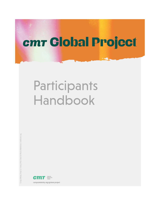# cmr Global Project

# Participants Handbook

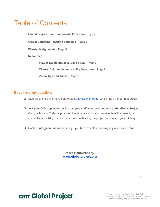### Table of Contents:

**Global Project Core Components Overview** - Page 2

**Global Gathering Teaching Schedule** - Page 4

**Weekly Assignments** - Page 5

**Resources:**

- **How to Do an Inductive Bible Study** Page 6
- **Weekly D-Group Accountability Questions** Page 8
- **Zoom Tips and Tricks** Page 9

#### **If you have any questions…**

- ❏ Start off by checking the Global Project [Participants'](https://campusministry.org/global-project/participants) Page, which has all of our resources!
- ❏ **Ask your D-Group leader or the campus staff who recruited you to the Global Project.** Campus Ministry Today is providing the structure and key components of the project, but your college ministry or church are the ones leading the project for you and your ministry.
- ❏ Contact **[info@campusministry.org](mailto:info@campusministry.org)** if you have trouble accessing any resources online.

**More Resources @ [www.globalproject.org](http://www.globalproject.org)**



**cmr Global Project**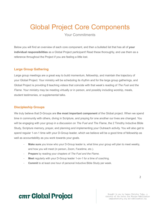### Global Project Core Components

Your Commitments

Below you will find an overview of each core component, and then a bulleted list that has all of **your individual responsibilities** as a Global Project participant! Read these thoroughly, and use them as a reference throughout the Project if you are feeling a little lost.

### **Large Group Gathering**

Large group meetings are a great way to build momentum, fellowship, and maintain the trajectory of your Global Project. Your ministry will be scheduling its rhythm and for the large group gatherings, and Global Project is providing 8 teaching videos that coincide with that week's reading of *The Fuel and the Flame*. Your ministry may be meeting virtually or in person, and possibly including worship, meals, student testimonies, or supplemental talks.

### **Discipleship Groups**

We truly believe that D-Groups are **the most important component** of the Global project. When we spend time in community with others, diving in Scripture, and praying for one another our lives are changed. You will be engaging with your group in a discussion on *The Fuel and The Flame*, the 2 Timothy Inductive Bible Study, Scripture memory, prayer, and planning and implementing your Outreach activity. You will also get to spend regular 1-on-1 time with your D-Group leader, which we believe will be a good time of fellowship as well as accountability as you work towards your goals.

- **Make sure** you know who your D-Group leader is, what time your group will plan to meet weekly, and how you will meet (in person, Zoom, Facetime, etc.).
- **Prepare** by reading your chapters of *The Fuel and the Flame*.
- Meet regularly with your D-Group leader 1-on-1 for a time of coaching.
- Commit to at least one hour of personal Inductive Bible Study per week.

### $\overline{2}$

## cm Global Project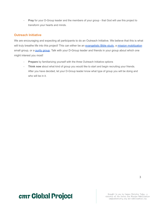Pray for your D-Group leader and the members of your group - that God will use this project to transform your hearts and minds.

### **Outreach Initiative**

We are encouraging and expecting all participants to do an Outreach Initiative. We believe that this is what will truly breathe life into this project! This can either be an [evangelistic Bible study,](https://campusministry.org/article/free-digital-evangelistic-bible-study-discovering-purpose) a mission [mobilization](https://www.mobilization.org/resources/live-missionally/xplore/) small group, or a [purity group.](https://thefreedomfight.org/30-day-challenge/30-day-sign-up/) Talk with your D-Group leader and friends in your group about which one might interest you most!

- Prepare by familiarizing yourself with the three Outreach Initiative options
- Think now about what kind of group you would like to start and begin recruiting your friends. After you have decided, let your D-Group leader know what type of group you will be doing and who will be in it.

## **cmr Global Project**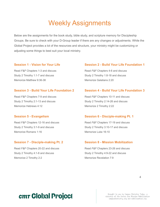### Weekly Assignments

Below are the assignments for the book study, bible study, and scripture memory for Discipleship Groups. Be sure to check with your D-Group leader if there are any changes or adjustments. While the Global Project provides a lot of the resources and structure, your ministry might be customizing or adjusting some things to best suit your local ministry.

Read *F&F* Chapters 1-3 and discuss Read *F&F* Chapters 4-6 and discuss Study 2 Timothy 1:1-7 and discuss Study 2 Timothy 1:8-18 and discuss Memorize Matthew 9:36-38 Memorize Galatians 2:20

Memorize Hebrews 4:12 Memorize 2 Timothy 2:22

Read *F&F* Chapters 12-16 and discuss Read *F&F* Chapters 17-19 and discuss Study 2 Timothy 3:1-9 and discuss Study 2 Timothy 3:10-17 and discuss Memorize Romans 1:16 Memorize Luke 16:10

#### **Session 7 - Disciple-making Pt. 2 Session 8 - Mission Mobilization**

Read *F&F* Chapters 20-22 and discuss Read *F&F* Chapters 23-26 and discuss Study 2 Timothy 4:1-8 and discuss Study 2 Timothy 4:9-22 and discuss Memorize 2 Timothy 2:2 Memorize Revelation 7:9

#### **Session 1 - Vision for Your Life Session 2 - Build Your Life Foundation 1**

#### **Session 3 - Build Your Life Foundation 2 Session 4 - Build Your Life Foundation 3**

Read *F&F* Chapters 7-9 and discuss Read *F&F* Chapters 10-11 and discuss Study 2 Timothy 2:1-13 and discuss Study 2 Timothy 2:14-26 and discuss

#### **Session 5 - Evangelism Session 6 - Disciple-making Pt. 1**

### **cmr Global Project**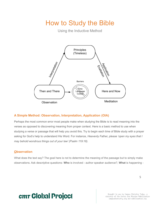### How to Study the Bible

Using the Inductive Method



### **A Simple Method: Observation, Interpretation, Application (OIA)**

Perhaps the most common error most people make when studying the Bible is to read meaning into the verses as opposed to discovering meaning from proper context. Here is a basic method to use when studying a verse or passage that will help you avoid this. Try to begin each time of Bible study with a prayer asking for God's help to understand His Word. For instance, *Heavenly Father, please 'open my eyes that I may behold wondrous things out of your law' (Psalm 119:18).*

### **Observation**

What does the text say? The goal here is not to determine the meaning of the passage but to simply make observations. Ask descriptive questions: **Who** is involved - author speaker audience?, **What** is happening -

### **cmr Global Project**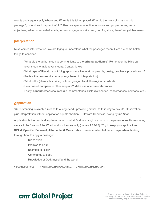events and sequences?, **Where** and **When** is this taking place? **Why** did the holy spirit inspire this passage?, **How** does it happen/unfold? Also pay special attention to nouns and proper nouns, verbs, adjectives, adverbs, repeated words, tenses, conjugations (i.e. and, but, for, since, therefore, yet, because)

#### **Interpretation**

Next, comes interpretation. We are trying to understand what the passages mean. Here are some helpful things to consider:

-What did the author mean to communicate to the **original audience**? Remember the bible can never mean what it never means. Context is key.

-What **type of literature** is it (biography, narrative, oratory, parable, poetry, prophecy, proverb, etc.)? -Review the **content** (i.e. what you gathered in interpretation)

-What is the (literary, historical, cultural, geographical, theological) **context**?

-How does it **compare** to other scripture? Make use of **cross-references**.

-Lastly, **consult** other resources (i.e. commentaries, Bible dictionaries, concordances, sermons, etc.)

### **Application**

"Understanding is simply a means to a larger end - practicing biblical truth in day-to-day life. Observation plus interpretation without application equals abortion." - Howard Hendricks, *Living by the Book*

Application is the practical implementation of what God has taught us through the passage. As Hames says, we are to be "doers of the Word, and not hearers only (James 1:22-25)." Try to keep your applications **SPAM. Specific, Personal, Attainable, & Measurable**. Here is another helpful acronym when thinking through how to apply a passage:

> **S**in to avoid **P**romise to claim **E**xample to follow **C**ommands to obey **K**nowledge of God, myself and the world

**VIDEO RESOURCES -** PT 1 <https://youtu.be/0W5XKGSjLLU>, PT 2 <https://youtu.be/zQllMChehR4>

## **cm Global Project**